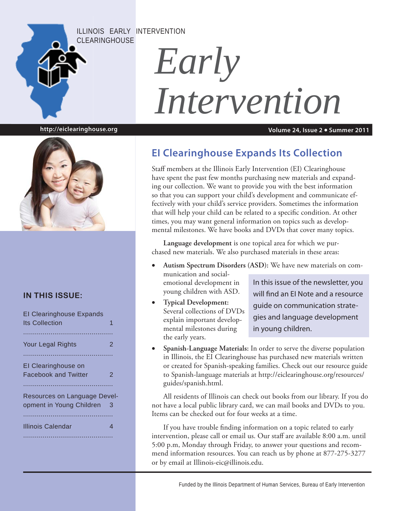ILLINOIS EARLY INTERVENTION CLEARINGHOUSE

# *Early Intervention*

**http://eiclearinghouse.org**

**Volume 24, Issue 2 Summer 2011**



#### **IN THIS ISSUE:**

| <b>El Clearinghouse Expands</b><br><b>Its Collection</b> |   |
|----------------------------------------------------------|---|
| <b>Your Legal Rights</b>                                 | 2 |
| El Clearinghouse on<br><b>Facebook and Twitter</b>       | 2 |
| Resources on Language Devel-<br>opment in Young Children | 3 |
| Illinois Calendar                                        |   |
|                                                          |   |

## **EI Clearinghouse Expands Its Collection**

Staff members at the Illinois Early Intervention (EI) Clearinghouse have spent the past few months purchasing new materials and expanding our collection. We want to provide you with the best information so that you can support your child's development and communicate effectively with your child's service providers. Sometimes the information that will help your child can be related to a specific condition. At other times, you may want general information on topics such as developmental milestones. We have books and DVDs that cover many topics.

**Language development** is one topical area for which we purchased new materials. We also purchased materials in these areas:

- **Autism Spectrum Disorders (ASD):** We have new materials on communication and socialemotional development in young children with ASD. In this issue of the newsletter, you
- **Typical Development:**  Several collections of DVDs explain important developmental milestones during the early years.

will find an EI Note and a resource guide on communication strategies and language development in young children.

 **Spanish-Language Materials:** In order to serve the diverse population in Illinois, the EI Clearinghouse has purchased new materials written or created for Spanish-speaking families. Check out our resource guide to Spanish-language materials at http://eiclearinghouse.org/resources/ guides/spanish.html.

All residents of Illinois can check out books from our library. If you do not have a local public library card, we can mail books and DVDs to you. Items can be checked out for four weeks at a time.

If you have trouble finding information on a topic related to early intervention, please call or email us. Our staff are available 8:00 a.m. until 5:00 p.m, Monday through Friday, to answer your questions and recommend information resources. You can reach us by phone at 877-275-3277 or by email at Illinois-eic@illinois.edu.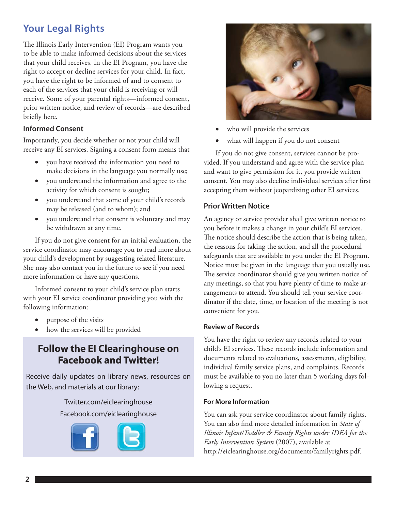## **Your Legal Rights**

The Illinois Early Intervention (EI) Program wants you to be able to make informed decisions about the services that your child receives. In the EI Program, you have the right to accept or decline services for your child. In fact, you have the right to be informed of and to consent to each of the services that your child is receiving or will receive. Some of your parental rights—informed consent, prior written notice, and review of records—are described briefly here.

#### **Informed Consent**

Importantly, you decide whether or not your child will receive any EI services. Signing a consent form means that

- you have received the information you need to make decisions in the language you normally use;
- you understand the information and agree to the activity for which consent is sought;
- you understand that some of your child's records may be released (and to whom); and
- you understand that consent is voluntary and may be withdrawn at any time.

If you do not give consent for an initial evaluation, the service coordinator may encourage you to read more about your child's development by suggesting related literature. She may also contact you in the future to see if you need more information or have any questions.

Informed consent to your child's service plan starts with your EI service coordinator providing you with the following information:

- purpose of the visits
- how the services will be provided

### **Follow the EI Clearinghouse on Facebook and Twitter!**

Receive daily updates on library news, resources on the Web, and materials at our library:

> Twitter.com/eiclearinghouse Facebook.com/eiclearinghouse





- who will provide the services
- what will happen if you do not consent

If you do not give consent, services cannot be provided. If you understand and agree with the service plan and want to give permission for it, you provide written consent. You may also decline individual services after first accepting them without jeopardizing other EI services.

#### **Prior Written Notice**

An agency or service provider shall give written notice to you before it makes a change in your child's EI services. The notice should describe the action that is being taken, the reasons for taking the action, and all the procedural safeguards that are available to you under the EI Program. Notice must be given in the language that you usually use. The service coordinator should give you written notice of any meetings, so that you have plenty of time to make arrangements to attend. You should tell your service coordinator if the date, time, or location of the meeting is not convenient for you.

#### **Review of Records**

You have the right to review any records related to your child's EI services. These records include information and documents related to evaluations, assessments, eligibility, individual family service plans, and complaints. Records must be available to you no later than 5 working days following a request.

#### **For More Information**

You can ask your service coordinator about family rights. You can also find more detailed information in *State of Illinois Infant/Toddler & Family Rights under IDEA for the Early Intervention System* (2007), available at http://eiclearinghouse.org/documents/familyrights.pdf.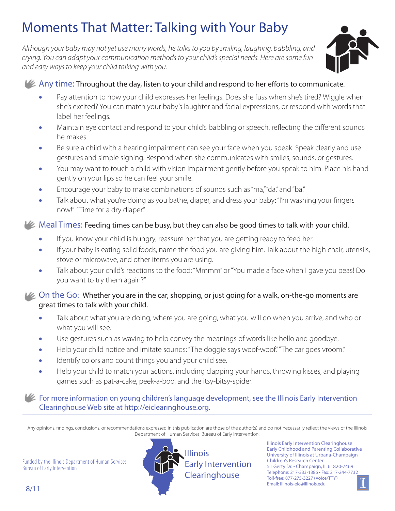# Moments That Matter: Talking with Your Baby

*Although your baby may not yet use many words, he talks to you by smiling, laughing, babbling, and crying. You can adapt your communication methods to your child's special needs. Here are some fun and easy ways to keep your child talking with you.* 



#### $\mathcal{U}_\mathcal{L}$  Any time: Throughout the day, listen to your child and respond to her efforts to communicate.

- Pay attention to how your child expresses her feelings. Does she fuss when she's tired? Wiggle when she's excited? You can match your baby's laughter and facial expressions, or respond with words that label her feelings.
- Maintain eye contact and respond to your child's babbling or speech, reflecting the different sounds he makes.
- Be sure a child with a hearing impairment can see your face when you speak. Speak clearly and use gestures and simple signing. Respond when she communicates with smiles, sounds, or gestures.
- You may want to touch a child with vision impairment gently before you speak to him. Place his hand gently on your lips so he can feel your smile.
- Encourage your baby to make combinations of sounds such as "ma," "da," and "ba."
- Talk about what you're doing as you bathe, diaper, and dress your baby: "I'm washing your fingers now!" "Time for a dry diaper."

#### $\blacktriangleright$  Meal Times: Feeding times can be busy, but they can also be good times to talk with your child.

- If you know your child is hungry, reassure her that you are getting ready to feed her.
- If your baby is eating solid foods, name the food you are giving him. Talk about the high chair, utensils, stove or microwave, and other items you are using.
- Talk about your child's reactions to the food: "Mmmm" or "You made a face when I gave you peas! Do you want to try them again?"

#### **LG** On the Go: Whether you are in the car, shopping, or just going for a walk, on-the-go moments are great times to talk with your child.

- Talk about what you are doing, where you are going, what you will do when you arrive, and who or what you will see.
- Use gestures such as waving to help convey the meanings of words like hello and goodbye.
- Help your child notice and imitate sounds: "The doggie says woof-woof." "The car goes vroom."
- • Identify colors and count things you and your child see.
- Help your child to match your actions, including clapping your hands, throwing kisses, and playing games such as pat-a-cake, peek-a-boo, and the itsy-bitsy-spider.

#### For more information on young children's language development, see the Illinois Early Intervention Clearinghouse Web site at http://eiclearinghouse.org.

Any opinions, findings, conclusions, or recommendations expressed in this publication are those of the author(s) and do not necessarily reflect the views of the Illinois Department of Human Services, Bureau of Early Intervention.

Funded by the Illinois Department of Human Services Bureau of Early Intervention



Illinois Early Intervention Clearinghouse Early Childhood and Parenting Collaborative University of Illinois at Urbana-Champaign Children's Research Center 51 Gerty Dr. • Champaign, IL 61820-7469 Telephone: 217-333-1386 • Fax: 217-244-7732 Toll-free: 877-275-3227 (Voice/TTY) Email: Illinois-eic@illinois.edu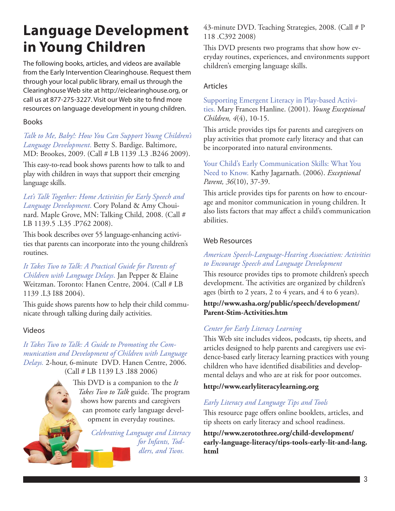# **Language Development in Young Children**

The following books, articles, and videos are available from the Early Intervention Clearinghouse. Request them through your local public library, email us through the Clearinghouse Web site at http://eiclearinghouse.org, or call us at 877-275-3227. Visit our Web site to find more resources on language development in young children.

#### Books

*Talk to Me, Baby!: How You Can Support Young Children's Language Development*. Betty S. Bardige. Baltimore, MD: Brookes, 2009. (Call # LB 1139 .L3 .B246 2009).

This easy-to-read book shows parents how to talk to and play with children in ways that support their emerging language skills.

*Let's Talk Together: Home Activities for Early Speech and Language Development*. Cory Poland & Amy Chouinard. Maple Grove, MN: Talking Child, 2008. (Call # LB 1139.5 .L35 .P762 2008).

This book describes over 55 language-enhancing activities that parents can incorporate into the young children's routines.

*It Takes Two to Talk: A Practical Guide for Parents of Children with Language Delays*. Jan Pepper & Elaine Weitzman. Toronto: Hanen Centre, 2004. (Call # LB 1139 .L3 I88 2004).

This guide shows parents how to help their child communicate through talking during daily activities.

#### Videos

*It Takes Two to Talk: A Guide to Promoting the Communication and Development of Children with Language Delays.* 2-hour, 6-minute DVD. Hanen Centre, 2006. (Call # LB 1139 L3 .I88 2006)

> This DVD is a companion to the *It Takes Two to Talk* guide. The program shows how parents and caregivers can promote early language development in everyday routines.

> > *Celebrating Language and Literacy for Infants, Toddlers, and Twos.*

43-minute DVD. Teaching Strategies, 2008. (Call # P 118 .C392 2008)

This DVD presents two programs that show how everyday routines, experiences, and environments support children's emerging language skills.

#### Articles

Supporting Emergent Literacy in Play-based Activities. Mary Frances Hanline. (2001). *Young Exceptional Children, 4*(4), 10-15.

This article provides tips for parents and caregivers on play activities that promote early literacy and that can be incorporated into natural environments.

Your Child's Early Communication Skills: What You Need to Know. Kathy Jagarnath. (2006). *Exceptional Parent, 36*(10), 37-39.

This article provides tips for parents on how to encourage and monitor communication in young children. It also lists factors that may affect a child's communication abilities.

#### Web Resources

#### *American Speech-Language-Hearing Association: Activities to Encourage Speech and Language Development*

This resource provides tips to promote children's speech development. The activities are organized by children's ages (birth to 2 years, 2 to 4 years, and 4 to 6 years).

#### **http://www.asha.org/public/speech/development/ Parent-Stim-Activities.htm**

#### *Center for Early Literacy Learning*

This Web site includes videos, podcasts, tip sheets, and articles designed to help parents and caregivers use evidence-based early literacy learning practices with young children who have identified disabilities and developmental delays and who are at risk for poor outcomes.

#### **http://www.earlyliteracylearning.org**

#### *Early Literacy and Language Tips and Tools*

This resource page offers online booklets, articles, and tip sheets on early literacy and school readiness.

**http://www.zerotothree.org/child-development/ early-language-literacy/tips-tools-early-lit-and-lang. html**